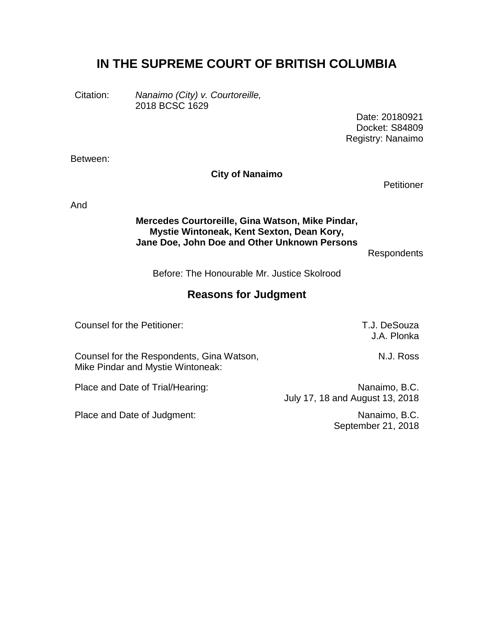# **IN THE SUPREME COURT OF BRITISH COLUMBIA**

Citation: *Nanaimo (City) v. Courtoreille,* 2018 BCSC 1629

> Date: 20180921 Docket: S84809 Registry: Nanaimo

Between:

## **City of Nanaimo**

**Petitioner** 

And

#### **Mercedes Courtoreille, Gina Watson, Mike Pindar, Mystie Wintoneak, Kent Sexton, Dean Kory, Jane Doe, John Doe and Other Unknown Persons**

**Respondents** 

Before: The Honourable Mr. Justice Skolrood

## **Reasons for Judgment**

| Counsel for the Petitioner:                                                    | T.J. DeSouza<br>J.A. Plonka                      |
|--------------------------------------------------------------------------------|--------------------------------------------------|
| Counsel for the Respondents, Gina Watson,<br>Mike Pindar and Mystie Wintoneak: | N.J. Ross                                        |
| Place and Date of Trial/Hearing:                                               | Nanaimo, B.C.<br>July 17, 18 and August 13, 2018 |
| Place and Date of Judgment:                                                    | Nanaimo, B.C.<br>September 21, 2018              |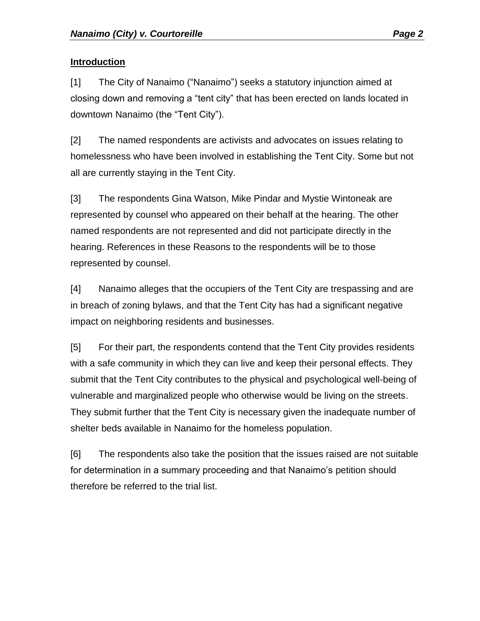## **Introduction**

[1] The City of Nanaimo ("Nanaimo") seeks a statutory injunction aimed at closing down and removing a "tent city" that has been erected on lands located in downtown Nanaimo (the "Tent City").

[2] The named respondents are activists and advocates on issues relating to homelessness who have been involved in establishing the Tent City. Some but not all are currently staying in the Tent City.

[3] The respondents Gina Watson, Mike Pindar and Mystie Wintoneak are represented by counsel who appeared on their behalf at the hearing. The other named respondents are not represented and did not participate directly in the hearing. References in these Reasons to the respondents will be to those represented by counsel.

[4] Nanaimo alleges that the occupiers of the Tent City are trespassing and are in breach of zoning bylaws, and that the Tent City has had a significant negative impact on neighboring residents and businesses.

[5] For their part, the respondents contend that the Tent City provides residents with a safe community in which they can live and keep their personal effects. They submit that the Tent City contributes to the physical and psychological well-being of vulnerable and marginalized people who otherwise would be living on the streets. They submit further that the Tent City is necessary given the inadequate number of shelter beds available in Nanaimo for the homeless population.

[6] The respondents also take the position that the issues raised are not suitable for determination in a summary proceeding and that Nanaimo's petition should therefore be referred to the trial list.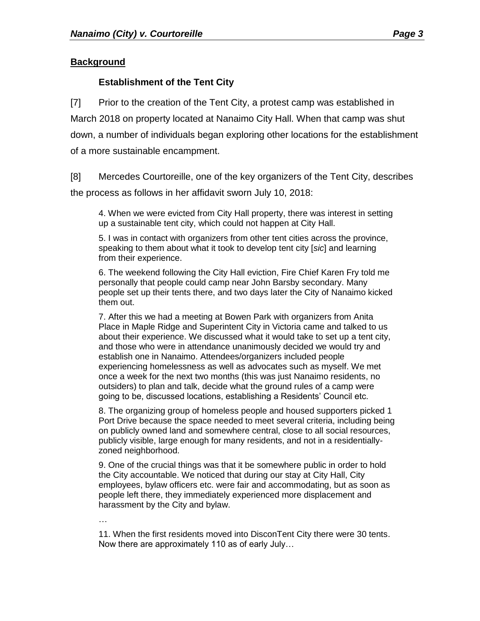#### **Background**

## **Establishment of the Tent City**

[7] Prior to the creation of the Tent City, a protest camp was established in March 2018 on property located at Nanaimo City Hall. When that camp was shut down, a number of individuals began exploring other locations for the establishment of a more sustainable encampment.

[8] Mercedes Courtoreille, one of the key organizers of the Tent City, describes

the process as follows in her affidavit sworn July 10, 2018:

4. When we were evicted from City Hall property, there was interest in setting up a sustainable tent city, which could not happen at City Hall.

5. I was in contact with organizers from other tent cities across the province, speaking to them about what it took to develop tent city [*sic*] and learning from their experience.

6. The weekend following the City Hall eviction, Fire Chief Karen Fry told me personally that people could camp near John Barsby secondary. Many people set up their tents there, and two days later the City of Nanaimo kicked them out.

7. After this we had a meeting at Bowen Park with organizers from Anita Place in Maple Ridge and Superintent City in Victoria came and talked to us about their experience. We discussed what it would take to set up a tent city, and those who were in attendance unanimously decided we would try and establish one in Nanaimo. Attendees/organizers included people experiencing homelessness as well as advocates such as myself. We met once a week for the next two months (this was just Nanaimo residents, no outsiders) to plan and talk, decide what the ground rules of a camp were going to be, discussed locations, establishing a Residents' Council etc.

8. The organizing group of homeless people and housed supporters picked 1 Port Drive because the space needed to meet several criteria, including being on publicly owned land and somewhere central, close to all social resources, publicly visible, large enough for many residents, and not in a residentiallyzoned neighborhood.

9. One of the crucial things was that it be somewhere public in order to hold the City accountable. We noticed that during our stay at City Hall, City employees, bylaw officers etc. were fair and accommodating, but as soon as people left there, they immediately experienced more displacement and harassment by the City and bylaw.

…

11. When the first residents moved into DisconTent City there were 30 tents. Now there are approximately 110 as of early July…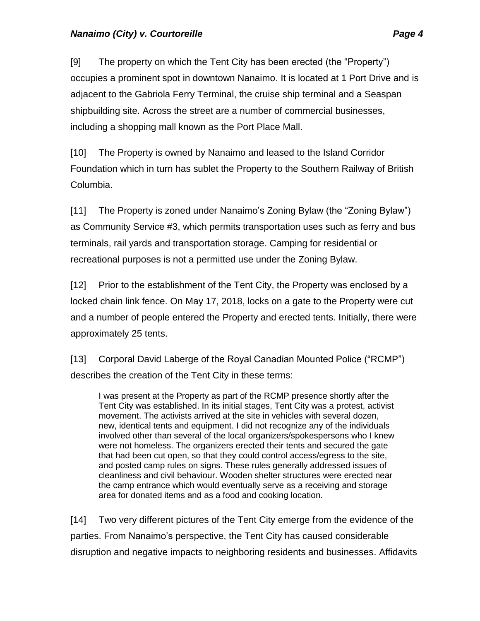[9] The property on which the Tent City has been erected (the "Property") occupies a prominent spot in downtown Nanaimo. It is located at 1 Port Drive and is adjacent to the Gabriola Ferry Terminal, the cruise ship terminal and a Seaspan shipbuilding site. Across the street are a number of commercial businesses, including a shopping mall known as the Port Place Mall.

[10] The Property is owned by Nanaimo and leased to the Island Corridor Foundation which in turn has sublet the Property to the Southern Railway of British Columbia.

[11] The Property is zoned under Nanaimo's Zoning Bylaw (the "Zoning Bylaw") as Community Service #3, which permits transportation uses such as ferry and bus terminals, rail yards and transportation storage. Camping for residential or recreational purposes is not a permitted use under the Zoning Bylaw.

[12] Prior to the establishment of the Tent City, the Property was enclosed by a locked chain link fence. On May 17, 2018, locks on a gate to the Property were cut and a number of people entered the Property and erected tents. Initially, there were approximately 25 tents.

[13] Corporal David Laberge of the Royal Canadian Mounted Police ("RCMP") describes the creation of the Tent City in these terms:

I was present at the Property as part of the RCMP presence shortly after the Tent City was established. In its initial stages, Tent City was a protest, activist movement. The activists arrived at the site in vehicles with several dozen, new, identical tents and equipment. I did not recognize any of the individuals involved other than several of the local organizers/spokespersons who I knew were not homeless. The organizers erected their tents and secured the gate that had been cut open, so that they could control access/egress to the site, and posted camp rules on signs. These rules generally addressed issues of cleanliness and civil behaviour. Wooden shelter structures were erected near the camp entrance which would eventually serve as a receiving and storage area for donated items and as a food and cooking location.

[14] Two very different pictures of the Tent City emerge from the evidence of the parties. From Nanaimo's perspective, the Tent City has caused considerable disruption and negative impacts to neighboring residents and businesses. Affidavits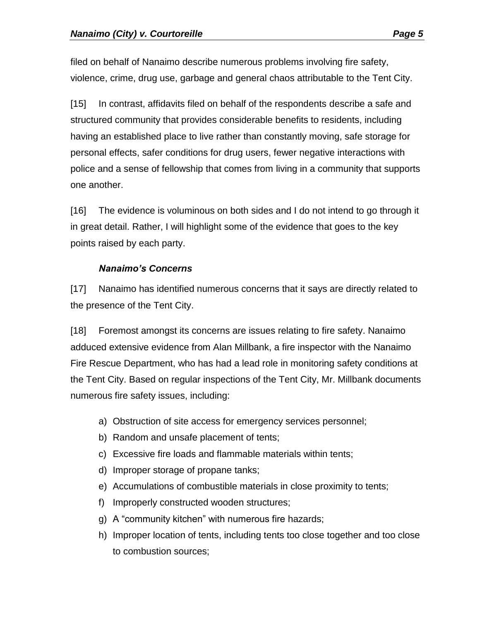filed on behalf of Nanaimo describe numerous problems involving fire safety, violence, crime, drug use, garbage and general chaos attributable to the Tent City.

[15] In contrast, affidavits filed on behalf of the respondents describe a safe and structured community that provides considerable benefits to residents, including having an established place to live rather than constantly moving, safe storage for personal effects, safer conditions for drug users, fewer negative interactions with police and a sense of fellowship that comes from living in a community that supports one another.

[16] The evidence is voluminous on both sides and I do not intend to go through it in great detail. Rather, I will highlight some of the evidence that goes to the key points raised by each party.

## *Nanaimo's Concerns*

[17] Nanaimo has identified numerous concerns that it says are directly related to the presence of the Tent City.

[18] Foremost amongst its concerns are issues relating to fire safety. Nanaimo adduced extensive evidence from Alan Millbank, a fire inspector with the Nanaimo Fire Rescue Department, who has had a lead role in monitoring safety conditions at the Tent City. Based on regular inspections of the Tent City, Mr. Millbank documents numerous fire safety issues, including:

- a) Obstruction of site access for emergency services personnel;
- b) Random and unsafe placement of tents;
- c) Excessive fire loads and flammable materials within tents;
- d) Improper storage of propane tanks;
- e) Accumulations of combustible materials in close proximity to tents;
- f) Improperly constructed wooden structures;
- g) A "community kitchen" with numerous fire hazards;
- h) Improper location of tents, including tents too close together and too close to combustion sources;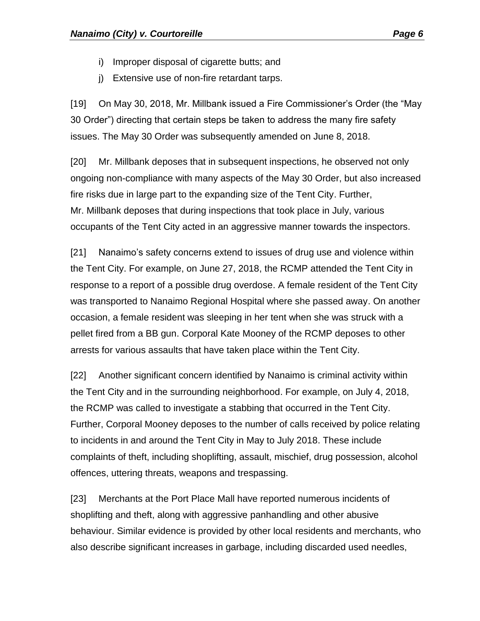- i) Improper disposal of cigarette butts; and
- j) Extensive use of non-fire retardant tarps.

[19] On May 30, 2018, Mr. Millbank issued a Fire Commissioner's Order (the "May 30 Order") directing that certain steps be taken to address the many fire safety issues. The May 30 Order was subsequently amended on June 8, 2018.

[20] Mr. Millbank deposes that in subsequent inspections, he observed not only ongoing non-compliance with many aspects of the May 30 Order, but also increased fire risks due in large part to the expanding size of the Tent City. Further, Mr. Millbank deposes that during inspections that took place in July, various occupants of the Tent City acted in an aggressive manner towards the inspectors.

[21] Nanaimo's safety concerns extend to issues of drug use and violence within the Tent City. For example, on June 27, 2018, the RCMP attended the Tent City in response to a report of a possible drug overdose. A female resident of the Tent City was transported to Nanaimo Regional Hospital where she passed away. On another occasion, a female resident was sleeping in her tent when she was struck with a pellet fired from a BB gun. Corporal Kate Mooney of the RCMP deposes to other arrests for various assaults that have taken place within the Tent City.

[22] Another significant concern identified by Nanaimo is criminal activity within the Tent City and in the surrounding neighborhood. For example, on July 4, 2018, the RCMP was called to investigate a stabbing that occurred in the Tent City. Further, Corporal Mooney deposes to the number of calls received by police relating to incidents in and around the Tent City in May to July 2018. These include complaints of theft, including shoplifting, assault, mischief, drug possession, alcohol offences, uttering threats, weapons and trespassing.

[23] Merchants at the Port Place Mall have reported numerous incidents of shoplifting and theft, along with aggressive panhandling and other abusive behaviour. Similar evidence is provided by other local residents and merchants, who also describe significant increases in garbage, including discarded used needles,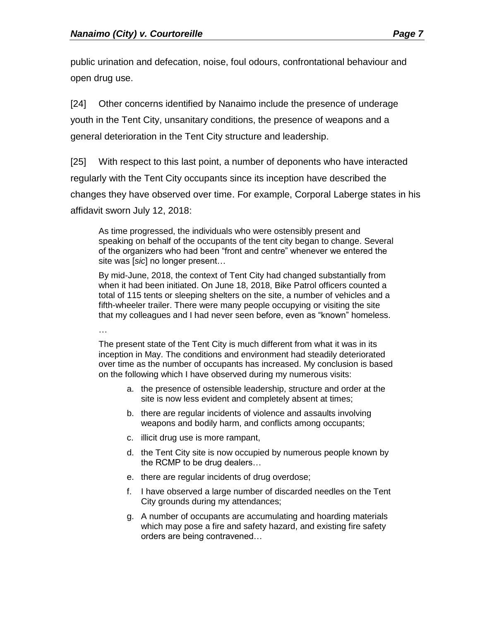[24] Other concerns identified by Nanaimo include the presence of underage youth in the Tent City, unsanitary conditions, the presence of weapons and a general deterioration in the Tent City structure and leadership.

[25] With respect to this last point, a number of deponents who have interacted regularly with the Tent City occupants since its inception have described the changes they have observed over time. For example, Corporal Laberge states in his affidavit sworn July 12, 2018:

As time progressed, the individuals who were ostensibly present and speaking on behalf of the occupants of the tent city began to change. Several of the organizers who had been "front and centre" whenever we entered the site was [*sic*] no longer present…

By mid-June, 2018, the context of Tent City had changed substantially from when it had been initiated. On June 18, 2018, Bike Patrol officers counted a total of 115 tents or sleeping shelters on the site, a number of vehicles and a fifth-wheeler trailer. There were many people occupying or visiting the site that my colleagues and I had never seen before, even as "known" homeless.

…

The present state of the Tent City is much different from what it was in its inception in May. The conditions and environment had steadily deteriorated over time as the number of occupants has increased. My conclusion is based on the following which I have observed during my numerous visits:

- a. the presence of ostensible leadership, structure and order at the site is now less evident and completely absent at times;
- b. there are regular incidents of violence and assaults involving weapons and bodily harm, and conflicts among occupants;
- c. illicit drug use is more rampant,
- d. the Tent City site is now occupied by numerous people known by the RCMP to be drug dealers…
- e. there are regular incidents of drug overdose;
- f. I have observed a large number of discarded needles on the Tent City grounds during my attendances;
- g. A number of occupants are accumulating and hoarding materials which may pose a fire and safety hazard, and existing fire safety orders are being contravened…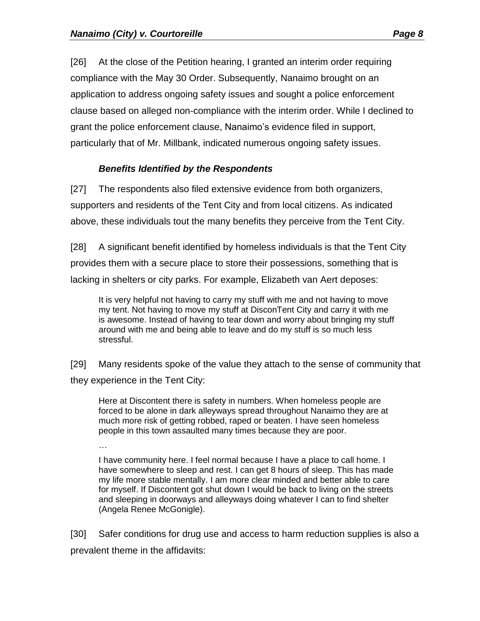[26] At the close of the Petition hearing, I granted an interim order requiring compliance with the May 30 Order. Subsequently, Nanaimo brought on an application to address ongoing safety issues and sought a police enforcement clause based on alleged non-compliance with the interim order. While I declined to grant the police enforcement clause, Nanaimo's evidence filed in support, particularly that of Mr. Millbank, indicated numerous ongoing safety issues.

## *Benefits Identified by the Respondents*

[27] The respondents also filed extensive evidence from both organizers, supporters and residents of the Tent City and from local citizens. As indicated above, these individuals tout the many benefits they perceive from the Tent City.

[28] A significant benefit identified by homeless individuals is that the Tent City provides them with a secure place to store their possessions, something that is lacking in shelters or city parks. For example, Elizabeth van Aert deposes:

It is very helpful not having to carry my stuff with me and not having to move my tent. Not having to move my stuff at DisconTent City and carry it with me is awesome. Instead of having to tear down and worry about bringing my stuff around with me and being able to leave and do my stuff is so much less stressful.

[29] Many residents spoke of the value they attach to the sense of community that they experience in the Tent City:

Here at Discontent there is safety in numbers. When homeless people are forced to be alone in dark alleyways spread throughout Nanaimo they are at much more risk of getting robbed, raped or beaten. I have seen homeless people in this town assaulted many times because they are poor.

…

I have community here. I feel normal because I have a place to call home. I have somewhere to sleep and rest. I can get 8 hours of sleep. This has made my life more stable mentally. I am more clear minded and better able to care for myself. If Discontent got shut down I would be back to living on the streets and sleeping in doorways and alleyways doing whatever I can to find shelter (Angela Renee McGonigle).

[30] Safer conditions for drug use and access to harm reduction supplies is also a prevalent theme in the affidavits: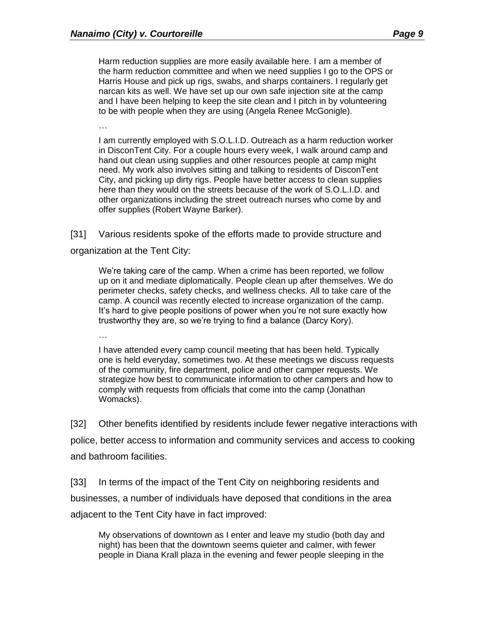Harm reduction supplies are more easily available here. I am a member of the harm reduction committee and when we need supplies I go to the OPS or Harris House and pick up rigs, swabs, and sharps containers. I regularly get narcan kits as well. We have set up our own safe injection site at the camp and I have been helping to keep the site clean and I pitch in by volunteering to be with people when they are using (Angela Renee McGonigle).

…

I am currently employed with S.O.L.I.D. Outreach as a harm reduction worker in DisconTent City. For a couple hours every week, I walk around camp and hand out clean using supplies and other resources people at camp might need. My work also involves sitting and talking to residents of DisconTent City, and picking up dirty rigs. People have better access to clean supplies here than they would on the streets because of the work of S.O.L.I.D. and other organizations including the street outreach nurses who come by and offer supplies (Robert Wayne Barker).

[31] Various residents spoke of the efforts made to provide structure and

organization at the Tent City:

We're taking care of the camp. When a crime has been reported, we follow up on it and mediate diplomatically. People clean up after themselves. We do perimeter checks, safety checks, and wellness checks. All to take care of the camp. A council was recently elected to increase organization of the camp. It's hard to give people positions of power when you're not sure exactly how trustworthy they are, so we're trying to find a balance (Darcy Kory).

…

I have attended every camp council meeting that has been held. Typically one is held everyday, sometimes two. At these meetings we discuss requests of the community, fire department, police and other camper requests. We strategize how best to communicate information to other campers and how to comply with requests from officials that come into the camp (Jonathan Womacks).

[32] Other benefits identified by residents include fewer negative interactions with police, better access to information and community services and access to cooking and bathroom facilities.

[33] In terms of the impact of the Tent City on neighboring residents and businesses, a number of individuals have deposed that conditions in the area adjacent to the Tent City have in fact improved:

My observations of downtown as I enter and leave my studio (both day and night) has been that the downtown seems quieter and calmer, with fewer people in Diana Krall plaza in the evening and fewer people sleeping in the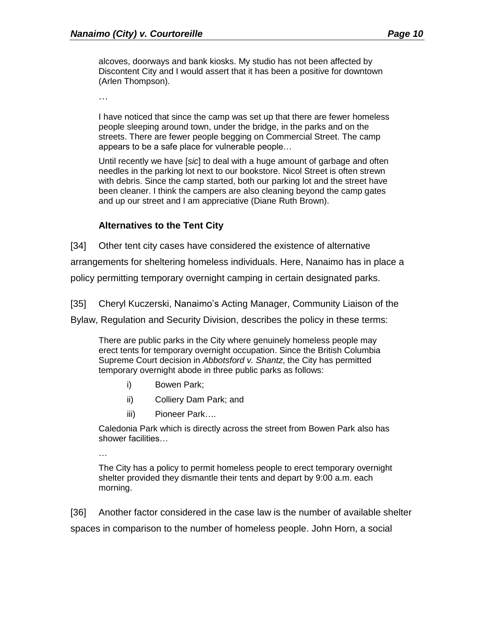alcoves, doorways and bank kiosks. My studio has not been affected by Discontent City and I would assert that it has been a positive for downtown (Arlen Thompson).

…

I have noticed that since the camp was set up that there are fewer homeless people sleeping around town, under the bridge, in the parks and on the streets. There are fewer people begging on Commercial Street. The camp appears to be a safe place for vulnerable people…

Until recently we have [*sic*] to deal with a huge amount of garbage and often needles in the parking lot next to our bookstore. Nicol Street is often strewn with debris. Since the camp started, both our parking lot and the street have been cleaner. I think the campers are also cleaning beyond the camp gates and up our street and I am appreciative (Diane Ruth Brown).

#### **Alternatives to the Tent City**

[34] Other tent city cases have considered the existence of alternative

arrangements for sheltering homeless individuals. Here, Nanaimo has in place a

policy permitting temporary overnight camping in certain designated parks.

[35] Cheryl Kuczerski, Nanaimo's Acting Manager, Community Liaison of the

Bylaw, Regulation and Security Division, describes the policy in these terms:

There are public parks in the City where genuinely homeless people may erect tents for temporary overnight occupation. Since the British Columbia Supreme Court decision in *Abbotsford v. Shantz*, the City has permitted temporary overnight abode in three public parks as follows:

- i) Bowen Park;
- ii) Colliery Dam Park; and
- iii) Pioneer Park….

Caledonia Park which is directly across the street from Bowen Park also has shower facilities…

…

The City has a policy to permit homeless people to erect temporary overnight shelter provided they dismantle their tents and depart by 9:00 a.m. each morning.

[36] Another factor considered in the case law is the number of available shelter spaces in comparison to the number of homeless people. John Horn, a social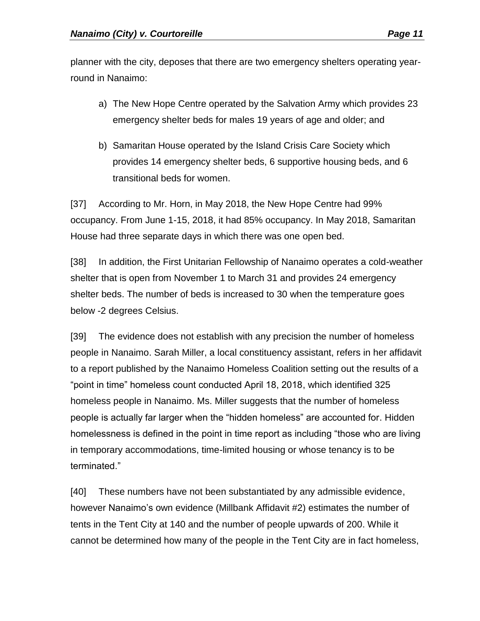planner with the city, deposes that there are two emergency shelters operating yearround in Nanaimo:

- a) The New Hope Centre operated by the Salvation Army which provides 23 emergency shelter beds for males 19 years of age and older; and
- b) Samaritan House operated by the Island Crisis Care Society which provides 14 emergency shelter beds, 6 supportive housing beds, and 6 transitional beds for women.

[37] According to Mr. Horn, in May 2018, the New Hope Centre had 99% occupancy. From June 1-15, 2018, it had 85% occupancy. In May 2018, Samaritan House had three separate days in which there was one open bed.

[38] In addition, the First Unitarian Fellowship of Nanaimo operates a cold-weather shelter that is open from November 1 to March 31 and provides 24 emergency shelter beds. The number of beds is increased to 30 when the temperature goes below -2 degrees Celsius.

[39] The evidence does not establish with any precision the number of homeless people in Nanaimo. Sarah Miller, a local constituency assistant, refers in her affidavit to a report published by the Nanaimo Homeless Coalition setting out the results of a "point in time" homeless count conducted April 18, 2018, which identified 325 homeless people in Nanaimo. Ms. Miller suggests that the number of homeless people is actually far larger when the "hidden homeless" are accounted for. Hidden homelessness is defined in the point in time report as including "those who are living in temporary accommodations, time-limited housing or whose tenancy is to be terminated."

[40] These numbers have not been substantiated by any admissible evidence, however Nanaimo's own evidence (Millbank Affidavit #2) estimates the number of tents in the Tent City at 140 and the number of people upwards of 200. While it cannot be determined how many of the people in the Tent City are in fact homeless,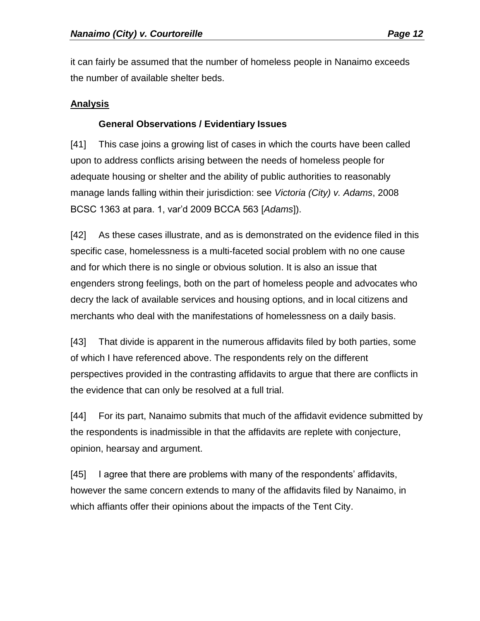it can fairly be assumed that the number of homeless people in Nanaimo exceeds the number of available shelter beds.

#### **Analysis**

#### **General Observations / Evidentiary Issues**

[41] This case joins a growing list of cases in which the courts have been called upon to address conflicts arising between the needs of homeless people for adequate housing or shelter and the ability of public authorities to reasonably manage lands falling within their jurisdiction: see *Victoria (City) v. Adams*, 2008 BCSC 1363 at para. 1, var'd 2009 BCCA 563 [*Adams*]).

[42] As these cases illustrate, and as is demonstrated on the evidence filed in this specific case, homelessness is a multi-faceted social problem with no one cause and for which there is no single or obvious solution. It is also an issue that engenders strong feelings, both on the part of homeless people and advocates who decry the lack of available services and housing options, and in local citizens and merchants who deal with the manifestations of homelessness on a daily basis.

[43] That divide is apparent in the numerous affidavits filed by both parties, some of which I have referenced above. The respondents rely on the different perspectives provided in the contrasting affidavits to argue that there are conflicts in the evidence that can only be resolved at a full trial.

[44] For its part, Nanaimo submits that much of the affidavit evidence submitted by the respondents is inadmissible in that the affidavits are replete with conjecture, opinion, hearsay and argument.

[45] I agree that there are problems with many of the respondents' affidavits, however the same concern extends to many of the affidavits filed by Nanaimo, in which affiants offer their opinions about the impacts of the Tent City.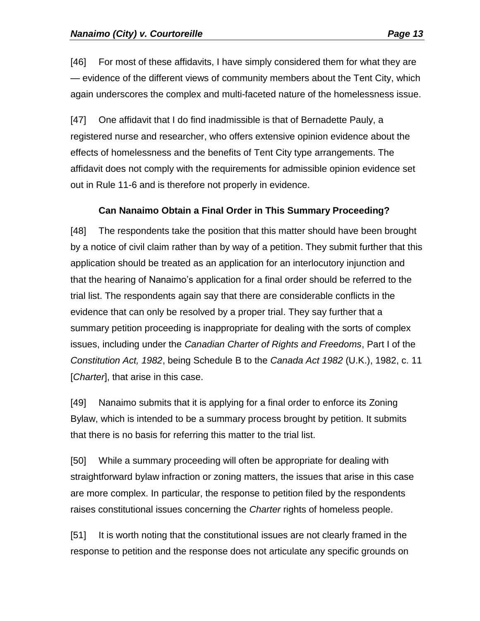[46] For most of these affidavits, I have simply considered them for what they are — evidence of the different views of community members about the Tent City, which again underscores the complex and multi-faceted nature of the homelessness issue.

[47] One affidavit that I do find inadmissible is that of Bernadette Pauly, a registered nurse and researcher, who offers extensive opinion evidence about the effects of homelessness and the benefits of Tent City type arrangements. The affidavit does not comply with the requirements for admissible opinion evidence set out in Rule 11-6 and is therefore not properly in evidence.

#### **Can Nanaimo Obtain a Final Order in This Summary Proceeding?**

[48] The respondents take the position that this matter should have been brought by a notice of civil claim rather than by way of a petition. They submit further that this application should be treated as an application for an interlocutory injunction and that the hearing of Nanaimo's application for a final order should be referred to the trial list. The respondents again say that there are considerable conflicts in the evidence that can only be resolved by a proper trial. They say further that a summary petition proceeding is inappropriate for dealing with the sorts of complex issues, including under the *Canadian Charter of Rights and Freedoms*, Part I of the *Constitution Act, 1982*, being Schedule B to the *Canada Act 1982* (U.K.), 1982, c. 11 [*Charter*], that arise in this case.

[49] Nanaimo submits that it is applying for a final order to enforce its Zoning Bylaw, which is intended to be a summary process brought by petition. It submits that there is no basis for referring this matter to the trial list.

[50] While a summary proceeding will often be appropriate for dealing with straightforward bylaw infraction or zoning matters, the issues that arise in this case are more complex. In particular, the response to petition filed by the respondents raises constitutional issues concerning the *Charter* rights of homeless people.

[51] It is worth noting that the constitutional issues are not clearly framed in the response to petition and the response does not articulate any specific grounds on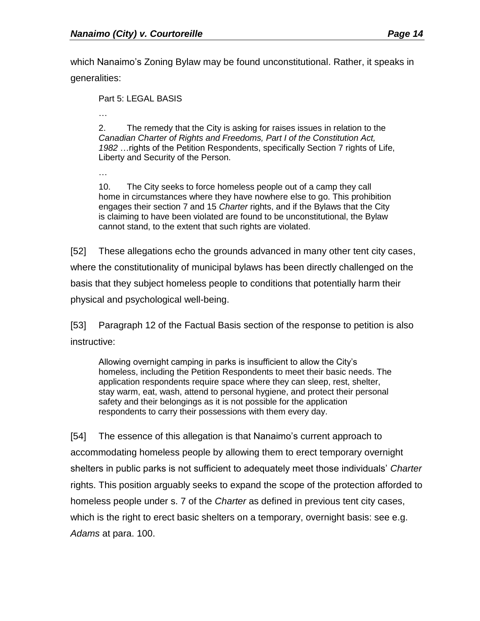which Nanaimo's Zoning Bylaw may be found unconstitutional. Rather, it speaks in generalities:

Part 5: LEGAL BASIS

2. The remedy that the City is asking for raises issues in relation to the *Canadian Charter of Rights and Freedoms, Part I of the Constitution Act, 1982* …rights of the Petition Respondents, specifically Section 7 rights of Life, Liberty and Security of the Person.

…

…

10. The City seeks to force homeless people out of a camp they call home in circumstances where they have nowhere else to go. This prohibition engages their section 7 and 15 *Charter* rights, and if the Bylaws that the City is claiming to have been violated are found to be unconstitutional, the Bylaw cannot stand, to the extent that such rights are violated.

[52] These allegations echo the grounds advanced in many other tent city cases, where the constitutionality of municipal bylaws has been directly challenged on the basis that they subject homeless people to conditions that potentially harm their physical and psychological well-being.

[53] Paragraph 12 of the Factual Basis section of the response to petition is also instructive:

Allowing overnight camping in parks is insufficient to allow the City's homeless, including the Petition Respondents to meet their basic needs. The application respondents require space where they can sleep, rest, shelter, stay warm, eat, wash, attend to personal hygiene, and protect their personal safety and their belongings as it is not possible for the application respondents to carry their possessions with them every day.

[54] The essence of this allegation is that Nanaimo's current approach to accommodating homeless people by allowing them to erect temporary overnight shelters in public parks is not sufficient to adequately meet those individuals' *Charter*  rights. This position arguably seeks to expand the scope of the protection afforded to homeless people under s. 7 of the *Charter* as defined in previous tent city cases, which is the right to erect basic shelters on a temporary, overnight basis: see e.g. *Adams* at para. 100.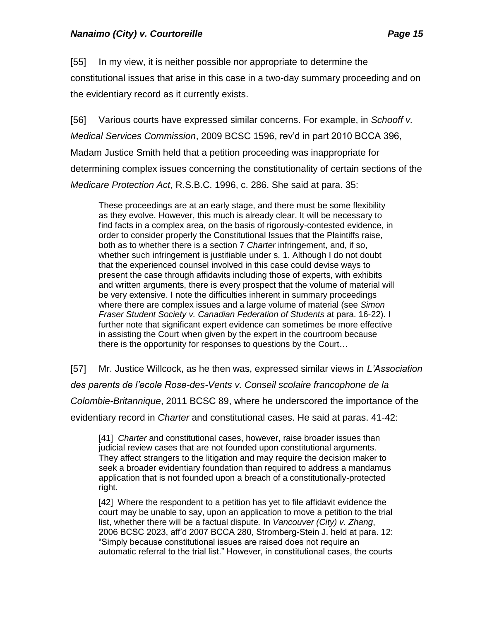[55] In my view, it is neither possible nor appropriate to determine the constitutional issues that arise in this case in a two-day summary proceeding and on the evidentiary record as it currently exists.

[56] Various courts have expressed similar concerns. For example, in *Schooff v. Medical Services Commission*, 2009 BCSC 1596, rev'd in part 2010 BCCA 396, Madam Justice Smith held that a petition proceeding was inappropriate for determining complex issues concerning the constitutionality of certain sections of the *Medicare Protection Act*, R.S.B.C. 1996, c. 286. She said at para. 35:

These proceedings are at an early stage, and there must be some flexibility as they evolve. However, this much is already clear. It will be necessary to find facts in a complex area, on the basis of rigorously-contested evidence, in order to consider properly the Constitutional Issues that the Plaintiffs raise, both as to whether there is a section 7 *Charter* infringement, and, if so, whether such infringement is justifiable under s. 1. Although I do not doubt that the experienced counsel involved in this case could devise ways to present the case through affidavits including those of experts, with exhibits and written arguments, there is every prospect that the volume of material will be very extensive. I note the difficulties inherent in summary proceedings where there are complex issues and a large volume of material (see *Simon Fraser Student Society v. Canadian Federation of Students* at para. 16-22). I further note that significant expert evidence can sometimes be more effective in assisting the Court when given by the expert in the courtroom because there is the opportunity for responses to questions by the Court…

[57] Mr. Justice Willcock, as he then was, expressed similar views in *L'Association des parents de l'ecole Rose-des-Vents v. Conseil scolaire francophone de la Colombie-Britannique*, 2011 BCSC 89, where he underscored the importance of the evidentiary record in *Charter* and constitutional cases. He said at paras. 41-42:

[41] *Charter* and constitutional cases, however, raise broader issues than judicial review cases that are not founded upon constitutional arguments. They affect strangers to the litigation and may require the decision maker to seek a broader evidentiary foundation than required to address a mandamus application that is not founded upon a breach of a constitutionally-protected right.

[42] Where the respondent to a petition has yet to file affidavit evidence the court may be unable to say, upon an application to move a petition to the trial list, whether there will be a factual dispute*.* In *Vancouver (City) v. Zhang*, 2006 BCSC 2023, aff'd 2007 BCCA 280, Stromberg-Stein J. held at para. 12: "Simply because constitutional issues are raised does not require an automatic referral to the trial list." However, in constitutional cases, the courts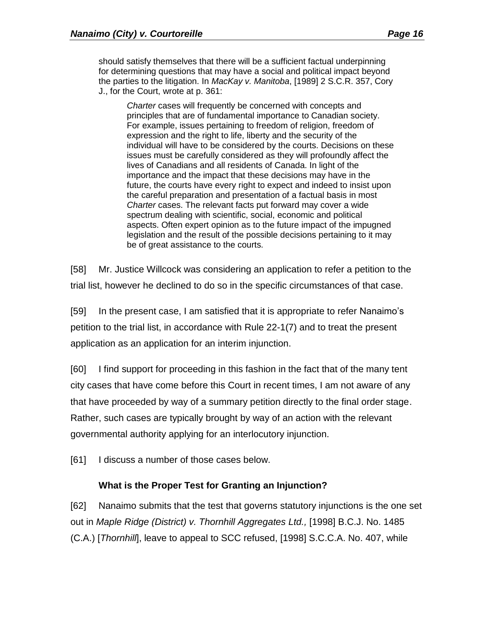should satisfy themselves that there will be a sufficient factual underpinning for determining questions that may have a social and political impact beyond the parties to the litigation. In *MacKay v. Manitoba*, [1989] 2 S.C.R. 357, Cory J., for the Court, wrote at p. 361:

*Charter* cases will frequently be concerned with concepts and principles that are of fundamental importance to Canadian society. For example, issues pertaining to freedom of religion, freedom of expression and the right to life, liberty and the security of the individual will have to be considered by the courts. Decisions on these issues must be carefully considered as they will profoundly affect the lives of Canadians and all residents of Canada. In light of the importance and the impact that these decisions may have in the future, the courts have every right to expect and indeed to insist upon the careful preparation and presentation of a factual basis in most *Charter* cases. The relevant facts put forward may cover a wide spectrum dealing with scientific, social, economic and political aspects. Often expert opinion as to the future impact of the impugned legislation and the result of the possible decisions pertaining to it may be of great assistance to the courts.

[58] Mr. Justice Willcock was considering an application to refer a petition to the trial list, however he declined to do so in the specific circumstances of that case.

[59] In the present case, I am satisfied that it is appropriate to refer Nanaimo's petition to the trial list, in accordance with Rule 22-1(7) and to treat the present application as an application for an interim injunction.

[60] I find support for proceeding in this fashion in the fact that of the many tent city cases that have come before this Court in recent times, I am not aware of any that have proceeded by way of a summary petition directly to the final order stage. Rather, such cases are typically brought by way of an action with the relevant governmental authority applying for an interlocutory injunction.

[61] I discuss a number of those cases below.

#### **What is the Proper Test for Granting an Injunction?**

[62] Nanaimo submits that the test that governs statutory injunctions is the one set out in *Maple Ridge (District) v. Thornhill Aggregates Ltd.,* [1998] B.C.J. No. 1485 (C.A.) [*Thornhill*], leave to appeal to SCC refused, [1998] S.C.C.A. No. 407, while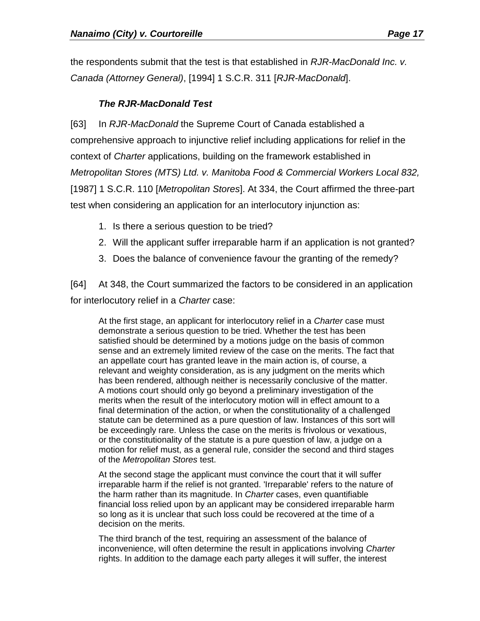the respondents submit that the test is that established in *RJR-MacDonald Inc. v. Canada (Attorney General)*, [1994] 1 S.C.R. 311 [*RJR-MacDonald*].

## *The RJR-MacDonald Test*

[63] In *RJR-MacDonald* the Supreme Court of Canada established a comprehensive approach to injunctive relief including applications for relief in the context of *Charter* applications, building on the framework established in *Metropolitan Stores (MTS) Ltd. v. Manitoba Food & Commercial Workers Local 832,*  [1987] 1 S.C.R. 110 [*Metropolitan Stores*]. At 334, the Court affirmed the three-part test when considering an application for an interlocutory injunction as:

- 1. Is there a serious question to be tried?
- 2. Will the applicant suffer irreparable harm if an application is not granted?
- 3. Does the balance of convenience favour the granting of the remedy?

[64] At 348, the Court summarized the factors to be considered in an application for interlocutory relief in a *Charter* case:

At the first stage, an applicant for interlocutory relief in a *Charter* case must demonstrate a serious question to be tried. Whether the test has been satisfied should be determined by a motions judge on the basis of common sense and an extremely limited review of the case on the merits. The fact that an appellate court has granted leave in the main action is, of course, a relevant and weighty consideration, as is any judgment on the merits which has been rendered, although neither is necessarily conclusive of the matter. A motions court should only go beyond a preliminary investigation of the merits when the result of the interlocutory motion will in effect amount to a final determination of the action, or when the constitutionality of a challenged statute can be determined as a pure question of law. Instances of this sort will be exceedingly rare. Unless the case on the merits is frivolous or vexatious, or the constitutionality of the statute is a pure question of law, a judge on a motion for relief must, as a general rule, consider the second and third stages of the *Metropolitan Stores* test.

At the second stage the applicant must convince the court that it will suffer irreparable harm if the relief is not granted. 'Irreparable' refers to the nature of the harm rather than its magnitude. In *Charter* cases, even quantifiable financial loss relied upon by an applicant may be considered irreparable harm so long as it is unclear that such loss could be recovered at the time of a decision on the merits.

The third branch of the test, requiring an assessment of the balance of inconvenience, will often determine the result in applications involving *Charter* rights. In addition to the damage each party alleges it will suffer, the interest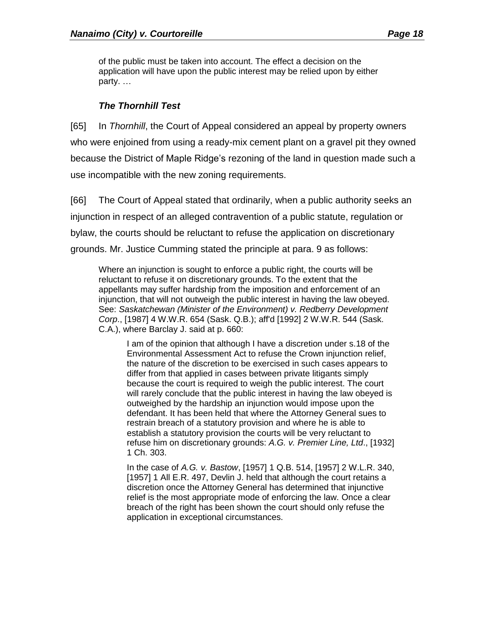of the public must be taken into account. The effect a decision on the application will have upon the public interest may be relied upon by either party. …

#### *The Thornhill Test*

[65] In *Thornhill*, the Court of Appeal considered an appeal by property owners who were enjoined from using a ready-mix cement plant on a gravel pit they owned because the District of Maple Ridge's rezoning of the land in question made such a use incompatible with the new zoning requirements.

[66] The Court of Appeal stated that ordinarily, when a public authority seeks an injunction in respect of an alleged contravention of a public statute, regulation or bylaw, the courts should be reluctant to refuse the application on discretionary grounds. Mr. Justice Cumming stated the principle at para. 9 as follows:

Where an injunction is sought to enforce a public right, the courts will be reluctant to refuse it on discretionary grounds. To the extent that the appellants may suffer hardship from the imposition and enforcement of an injunction, that will not outweigh the public interest in having the law obeyed. See: *Saskatchewan (Minister of the Environment) v. Redberry Development Corp*., [1987] 4 W.W.R. 654 (Sask. Q.B.); aff'd [1992] 2 W.W.R. 544 (Sask. C.A.), where Barclay J. said at p. 660:

I am of the opinion that although I have a discretion under s.18 of the Environmental Assessment Act to refuse the Crown injunction relief, the nature of the discretion to be exercised in such cases appears to differ from that applied in cases between private litigants simply because the court is required to weigh the public interest. The court will rarely conclude that the public interest in having the law obeved is outweighed by the hardship an injunction would impose upon the defendant. It has been held that where the Attorney General sues to restrain breach of a statutory provision and where he is able to establish a statutory provision the courts will be very reluctant to refuse him on discretionary grounds: *A.G. v. Premier Line, Ltd*., [1932] 1 Ch. 303.

In the case of *A.G. v. Bastow*, [1957] 1 Q.B. 514, [1957] 2 W.L.R. 340, [1957] 1 All E.R. 497, Devlin J. held that although the court retains a discretion once the Attorney General has determined that injunctive relief is the most appropriate mode of enforcing the law. Once a clear breach of the right has been shown the court should only refuse the application in exceptional circumstances.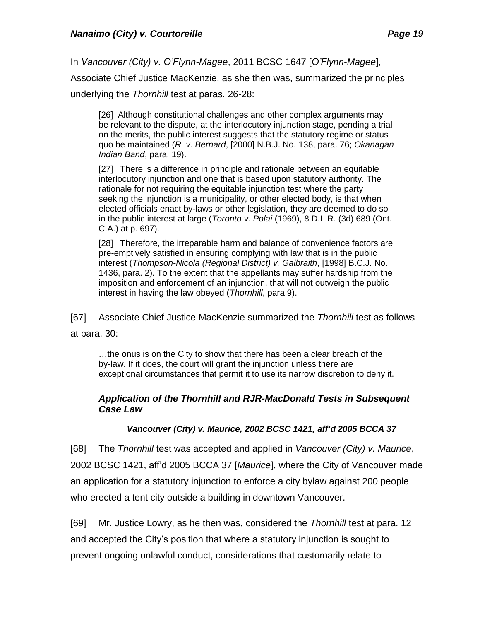In *Vancouver (City) v. O'Flynn-Magee*, 2011 BCSC 1647 [*O'Flynn-Magee*],

Associate Chief Justice MacKenzie, as she then was, summarized the principles

underlying the *Thornhill* test at paras. 26-28:

[26] Although constitutional challenges and other complex arguments may be relevant to the dispute, at the interlocutory injunction stage, pending a trial on the merits, the public interest suggests that the statutory regime or status quo be maintained (*R. v. Bernard*, [2000] N.B.J. No. 138, para. 76; *Okanagan Indian Band*, para. 19).

[27] There is a difference in principle and rationale between an equitable interlocutory injunction and one that is based upon statutory authority. The rationale for not requiring the equitable injunction test where the party seeking the injunction is a municipality, or other elected body, is that when elected officials enact by-laws or other legislation, they are deemed to do so in the public interest at large (*Toronto v. Polai* (1969), 8 D.L.R. (3d) 689 (Ont. C.A.) at p. 697).

[28] Therefore, the irreparable harm and balance of convenience factors are pre-emptively satisfied in ensuring complying with law that is in the public interest (*Thompson-Nicola (Regional District) v. Galbraith*, [1998] B.C.J. No. 1436, para. 2). To the extent that the appellants may suffer hardship from the imposition and enforcement of an injunction, that will not outweigh the public interest in having the law obeyed (*Thornhill*, para 9).

[67] Associate Chief Justice MacKenzie summarized the *Thornhill* test as follows

at para. 30:

…the onus is on the City to show that there has been a clear breach of the by-law. If it does, the court will grant the injunction unless there are exceptional circumstances that permit it to use its narrow discretion to deny it.

#### *Application of the Thornhill and RJR-MacDonald Tests in Subsequent Case Law*

#### *Vancouver (City) v. Maurice, 2002 BCSC 1421, aff'd 2005 BCCA 37*

[68] The *Thornhill* test was accepted and applied in *Vancouver (City) v. Maurice*, 2002 BCSC 1421, aff'd 2005 BCCA 37 [*Maurice*], where the City of Vancouver made an application for a statutory injunction to enforce a city bylaw against 200 people who erected a tent city outside a building in downtown Vancouver.

[69] Mr. Justice Lowry, as he then was, considered the *Thornhill* test at para. 12 and accepted the City's position that where a statutory injunction is sought to prevent ongoing unlawful conduct, considerations that customarily relate to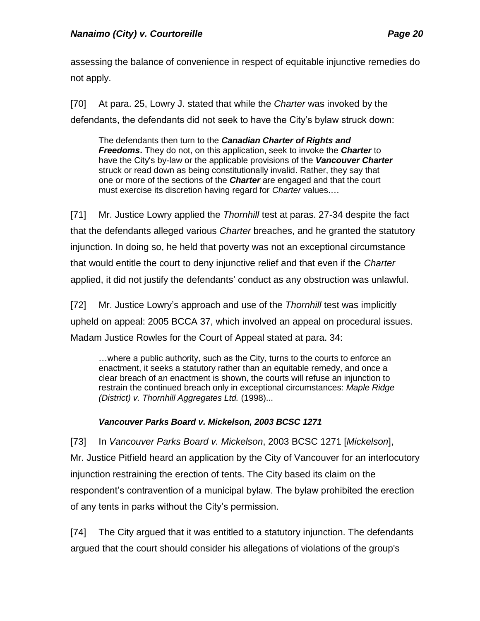assessing the balance of convenience in respect of equitable injunctive remedies do not apply.

[70] At para. 25, Lowry J. stated that while the *Charter* was invoked by the defendants, the defendants did not seek to have the City's bylaw struck down:

The defendants then turn to the *Canadian Charter of Rights and Freedoms***.** They do not, on this application, seek to invoke the *Charter* to have the City's by-law or the applicable provisions of the *Vancouver Charter* struck or read down as being constitutionally invalid. Rather, they say that one or more of the sections of the *Charter* are engaged and that the court must exercise its discretion having regard for *Charter* values.…

[71] Mr. Justice Lowry applied the *Thornhill* test at paras. 27-34 despite the fact that the defendants alleged various *Charter* breaches, and he granted the statutory injunction. In doing so, he held that poverty was not an exceptional circumstance that would entitle the court to deny injunctive relief and that even if the *Charter* applied, it did not justify the defendants' conduct as any obstruction was unlawful.

[72] Mr. Justice Lowry's approach and use of the *Thornhill* test was implicitly upheld on appeal: 2005 BCCA 37, which involved an appeal on procedural issues. Madam Justice Rowles for the Court of Appeal stated at para. 34:

…where a public authority, such as the City, turns to the courts to enforce an enactment, it seeks a statutory rather than an equitable remedy, and once a clear breach of an enactment is shown, the courts will refuse an injunction to restrain the continued breach only in exceptional circumstances: *Maple Ridge (District) v. Thornhill Aggregates Ltd.* (1998)...

## *Vancouver Parks Board v. Mickelson, 2003 BCSC 1271*

[73] In *Vancouver Parks Board v. Mickelson*, 2003 BCSC 1271 [*Mickelson*], Mr. Justice Pitfield heard an application by the City of Vancouver for an interlocutory injunction restraining the erection of tents. The City based its claim on the respondent's contravention of a municipal bylaw. The bylaw prohibited the erection of any tents in parks without the City's permission.

[74] The City argued that it was entitled to a statutory injunction. The defendants argued that the court should consider his allegations of violations of the group's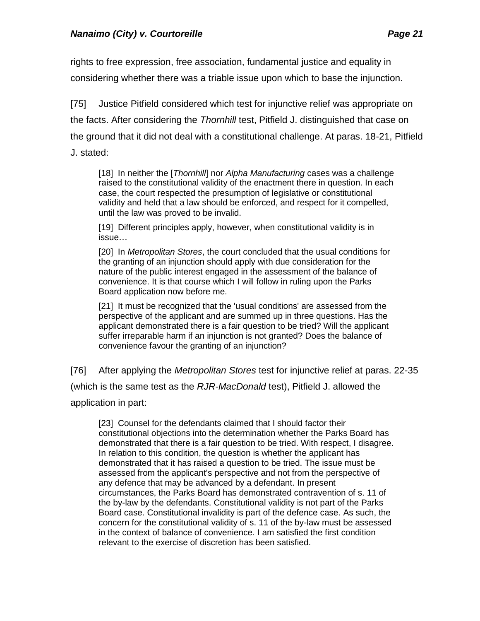rights to free expression, free association, fundamental justice and equality in considering whether there was a triable issue upon which to base the injunction.

[75] Justice Pitfield considered which test for injunctive relief was appropriate on the facts. After considering the *Thornhill* test, Pitfield J. distinguished that case on the ground that it did not deal with a constitutional challenge. At paras. 18-21, Pitfield J. stated:

[18] In neither the [*Thornhill*] nor *Alpha Manufacturing* cases was a challenge raised to the constitutional validity of the enactment there in question. In each case, the court respected the presumption of legislative or constitutional validity and held that a law should be enforced, and respect for it compelled, until the law was proved to be invalid.

[19] Different principles apply, however, when constitutional validity is in issue…

[20] In *Metropolitan Stores*, the court concluded that the usual conditions for the granting of an injunction should apply with due consideration for the nature of the public interest engaged in the assessment of the balance of convenience. It is that course which I will follow in ruling upon the Parks Board application now before me.

[21] It must be recognized that the 'usual conditions' are assessed from the perspective of the applicant and are summed up in three questions. Has the applicant demonstrated there is a fair question to be tried? Will the applicant suffer irreparable harm if an injunction is not granted? Does the balance of convenience favour the granting of an injunction?

[76] After applying the *Metropolitan Stores* test for injunctive relief at paras. 22-35 (which is the same test as the *RJR-MacDonald* test), Pitfield J. allowed the application in part:

[23] Counsel for the defendants claimed that I should factor their constitutional objections into the determination whether the Parks Board has demonstrated that there is a fair question to be tried. With respect, I disagree. In relation to this condition, the question is whether the applicant has demonstrated that it has raised a question to be tried. The issue must be assessed from the applicant's perspective and not from the perspective of any defence that may be advanced by a defendant. In present circumstances, the Parks Board has demonstrated contravention of s. 11 of the by-law by the defendants. Constitutional validity is not part of the Parks Board case. Constitutional invalidity is part of the defence case. As such, the concern for the constitutional validity of s. 11 of the by-law must be assessed in the context of balance of convenience. I am satisfied the first condition relevant to the exercise of discretion has been satisfied.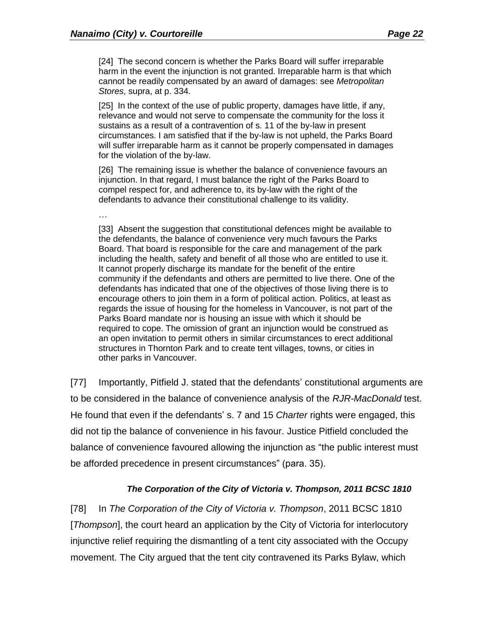[24] The second concern is whether the Parks Board will suffer irreparable harm in the event the injunction is not granted. Irreparable harm is that which cannot be readily compensated by an award of damages: see *Metropolitan Stores*, supra, at p. 334.

[25] In the context of the use of public property, damages have little, if any, relevance and would not serve to compensate the community for the loss it sustains as a result of a contravention of s. 11 of the by-law in present circumstances. I am satisfied that if the by-law is not upheld, the Parks Board will suffer irreparable harm as it cannot be properly compensated in damages for the violation of the by-law.

[26] The remaining issue is whether the balance of convenience favours an injunction. In that regard, I must balance the right of the Parks Board to compel respect for, and adherence to, its by-law with the right of the defendants to advance their constitutional challenge to its validity.

…

[33] Absent the suggestion that constitutional defences might be available to the defendants, the balance of convenience very much favours the Parks Board. That board is responsible for the care and management of the park including the health, safety and benefit of all those who are entitled to use it. It cannot properly discharge its mandate for the benefit of the entire community if the defendants and others are permitted to live there. One of the defendants has indicated that one of the objectives of those living there is to encourage others to join them in a form of political action. Politics, at least as regards the issue of housing for the homeless in Vancouver, is not part of the Parks Board mandate nor is housing an issue with which it should be required to cope. The omission of grant an injunction would be construed as an open invitation to permit others in similar circumstances to erect additional structures in Thornton Park and to create tent villages, towns, or cities in other parks in Vancouver.

[77] Importantly, Pitfield J. stated that the defendants' constitutional arguments are to be considered in the balance of convenience analysis of the *RJR-MacDonald* test. He found that even if the defendants' s. 7 and 15 *Charter* rights were engaged, this did not tip the balance of convenience in his favour. Justice Pitfield concluded the balance of convenience favoured allowing the injunction as "the public interest must be afforded precedence in present circumstances" (para. 35).

#### *The Corporation of the City of Victoria v. Thompson, 2011 BCSC 1810*

[78] In *The Corporation of the City of Victoria v. Thompson*, 2011 BCSC 1810 [*Thompson*], the court heard an application by the City of Victoria for interlocutory injunctive relief requiring the dismantling of a tent city associated with the Occupy movement. The City argued that the tent city contravened its Parks Bylaw, which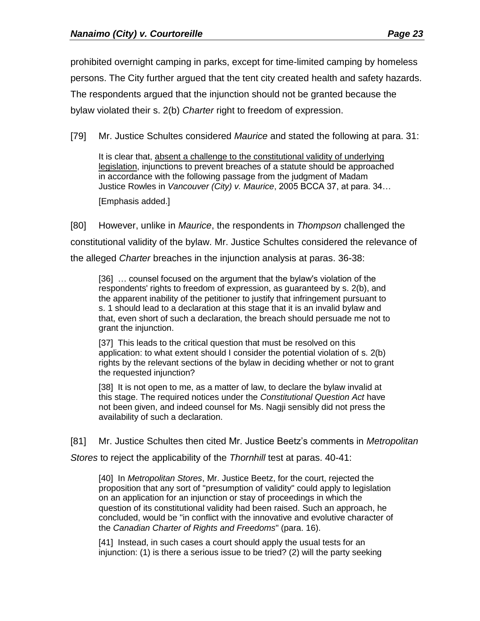prohibited overnight camping in parks, except for time-limited camping by homeless persons. The City further argued that the tent city created health and safety hazards. The respondents argued that the injunction should not be granted because the bylaw violated their s. 2(b) *Charter* right to freedom of expression.

[79] Mr. Justice Schultes considered *Maurice* and stated the following at para. 31:

It is clear that, absent a challenge to the constitutional validity of underlying legislation, injunctions to prevent breaches of a statute should be approached in accordance with the following passage from the judgment of Madam Justice Rowles in *Vancouver (City) v. Maurice*, 2005 BCCA 37, at para. 34… [Emphasis added.]

[80] However, unlike in *Maurice*, the respondents in *Thompson* challenged the constitutional validity of the bylaw. Mr. Justice Schultes considered the relevance of the alleged *Charter* breaches in the injunction analysis at paras. 36-38:

[36] … counsel focused on the argument that the bylaw's violation of the respondents' rights to freedom of expression, as guaranteed by s. 2(b), and the apparent inability of the petitioner to justify that infringement pursuant to s. 1 should lead to a declaration at this stage that it is an invalid bylaw and that, even short of such a declaration, the breach should persuade me not to grant the injunction.

[37] This leads to the critical question that must be resolved on this application: to what extent should I consider the potential violation of s. 2(b) rights by the relevant sections of the bylaw in deciding whether or not to grant the requested injunction?

[38] It is not open to me, as a matter of law, to declare the bylaw invalid at this stage. The required notices under the *Constitutional Question Act* have not been given, and indeed counsel for Ms. Nagji sensibly did not press the availability of such a declaration.

[81] Mr. Justice Schultes then cited Mr. Justice Beetz's comments in *Metropolitan* 

*Stores* to reject the applicability of the *Thornhill* test at paras. 40-41:

[40] In *Metropolitan Stores*, Mr. Justice Beetz, for the court, rejected the proposition that any sort of "presumption of validity" could apply to legislation on an application for an injunction or stay of proceedings in which the question of its constitutional validity had been raised. Such an approach, he concluded, would be "in conflict with the innovative and evolutive character of the *Canadian Charter of Rights and Freedoms*" (para. 16).

[41] Instead, in such cases a court should apply the usual tests for an injunction: (1) is there a serious issue to be tried? (2) will the party seeking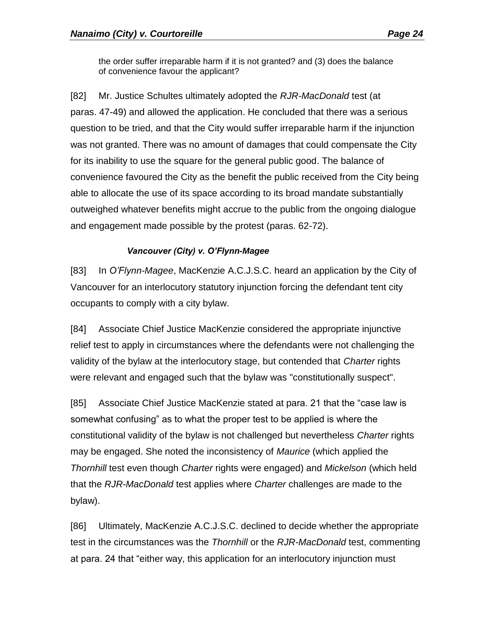the order suffer irreparable harm if it is not granted? and (3) does the balance of convenience favour the applicant?

[82] Mr. Justice Schultes ultimately adopted the *RJR-MacDonald* test (at paras. 47-49) and allowed the application. He concluded that there was a serious question to be tried, and that the City would suffer irreparable harm if the injunction was not granted. There was no amount of damages that could compensate the City for its inability to use the square for the general public good. The balance of convenience favoured the City as the benefit the public received from the City being able to allocate the use of its space according to its broad mandate substantially outweighed whatever benefits might accrue to the public from the ongoing dialogue and engagement made possible by the protest (paras. 62-72).

## *Vancouver (City) v. O'Flynn-Magee*

[83] In *O'Flynn-Magee*, MacKenzie A.C.J.S.C. heard an application by the City of Vancouver for an interlocutory statutory injunction forcing the defendant tent city occupants to comply with a city bylaw.

[84] Associate Chief Justice MacKenzie considered the appropriate injunctive relief test to apply in circumstances where the defendants were not challenging the validity of the bylaw at the interlocutory stage, but contended that *Charter* rights were relevant and engaged such that the bylaw was "constitutionally suspect".

[85] Associate Chief Justice MacKenzie stated at para. 21 that the "case law is somewhat confusing" as to what the proper test to be applied is where the constitutional validity of the bylaw is not challenged but nevertheless *Charter* rights may be engaged. She noted the inconsistency of *Maurice* (which applied the *Thornhill* test even though *Charter* rights were engaged) and *Mickelson* (which held that the *RJR-MacDonald* test applies where *Charter* challenges are made to the bylaw).

[86] Ultimately, MacKenzie A.C.J.S.C. declined to decide whether the appropriate test in the circumstances was the *Thornhill* or the *RJR-MacDonald* test, commenting at para. 24 that "either way, this application for an interlocutory injunction must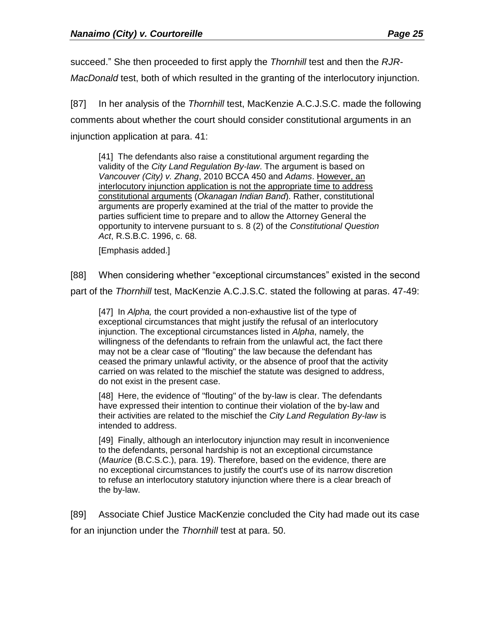succeed." She then proceeded to first apply the *Thornhill* test and then the *RJR-MacDonald* test, both of which resulted in the granting of the interlocutory injunction.

[87] In her analysis of the *Thornhill* test, MacKenzie A.C.J.S.C. made the following comments about whether the court should consider constitutional arguments in an injunction application at para. 41:

[41] The defendants also raise a constitutional argument regarding the validity of the *City Land Regulation By-law*. The argument is based on *Vancouver (City) v. Zhang*, 2010 BCCA 450 and *Adams*. However, an interlocutory injunction application is not the appropriate time to address constitutional arguments (*Okanagan Indian Band*). Rather, constitutional arguments are properly examined at the trial of the matter to provide the parties sufficient time to prepare and to allow the Attorney General the opportunity to intervene pursuant to s. 8 (2) of the *Constitutional Question Act*, R.S.B.C. 1996, c. 68.

[Emphasis added.]

[88] When considering whether "exceptional circumstances" existed in the second

part of the *Thornhill* test, MacKenzie A.C.J.S.C. stated the following at paras. 47-49:

[47] In *Alpha*, the court provided a non-exhaustive list of the type of exceptional circumstances that might justify the refusal of an interlocutory injunction. The exceptional circumstances listed in *Alpha*, namely, the willingness of the defendants to refrain from the unlawful act, the fact there may not be a clear case of "flouting" the law because the defendant has ceased the primary unlawful activity, or the absence of proof that the activity carried on was related to the mischief the statute was designed to address, do not exist in the present case.

[48] Here, the evidence of "flouting" of the by-law is clear. The defendants have expressed their intention to continue their violation of the by-law and their activities are related to the mischief the *City Land Regulation By-law* is intended to address.

[49] Finally, although an interlocutory injunction may result in inconvenience to the defendants, personal hardship is not an exceptional circumstance (*Maurice* (B.C.S.C.), para. 19). Therefore, based on the evidence, there are no exceptional circumstances to justify the court's use of its narrow discretion to refuse an interlocutory statutory injunction where there is a clear breach of the by-law.

[89] Associate Chief Justice MacKenzie concluded the City had made out its case for an injunction under the *Thornhill* test at para. 50.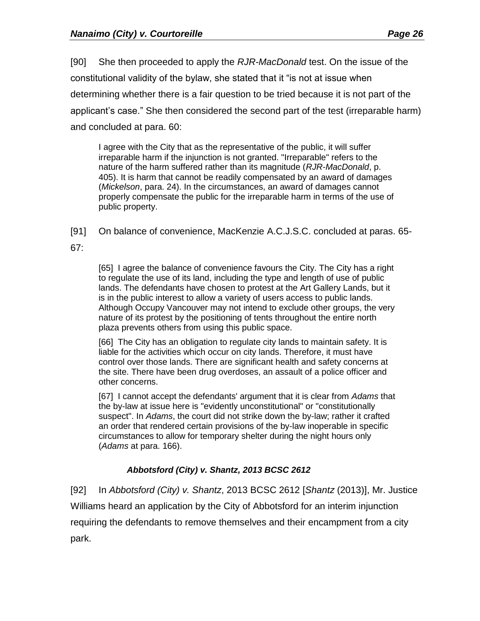[90] She then proceeded to apply the *RJR-MacDonald* test. On the issue of the constitutional validity of the bylaw, she stated that it "is not at issue when determining whether there is a fair question to be tried because it is not part of the applicant's case." She then considered the second part of the test (irreparable harm) and concluded at para. 60:

I agree with the City that as the representative of the public, it will suffer irreparable harm if the injunction is not granted. "Irreparable" refers to the nature of the harm suffered rather than its magnitude (*RJR-MacDonald*, p. 405). It is harm that cannot be readily compensated by an award of damages (*Mickelson*, para. 24). In the circumstances, an award of damages cannot properly compensate the public for the irreparable harm in terms of the use of public property.

[91] On balance of convenience, MacKenzie A.C.J.S.C. concluded at paras. 65-

67:

[65] I agree the balance of convenience favours the City. The City has a right to regulate the use of its land, including the type and length of use of public lands. The defendants have chosen to protest at the Art Gallery Lands, but it is in the public interest to allow a variety of users access to public lands. Although Occupy Vancouver may not intend to exclude other groups, the very nature of its protest by the positioning of tents throughout the entire north plaza prevents others from using this public space.

[66] The City has an obligation to regulate city lands to maintain safety. It is liable for the activities which occur on city lands. Therefore, it must have control over those lands. There are significant health and safety concerns at the site. There have been drug overdoses, an assault of a police officer and other concerns.

[67] I cannot accept the defendants' argument that it is clear from *Adams* that the by-law at issue here is "evidently unconstitutional" or "constitutionally suspect". In *Adams*, the court did not strike down the by-law; rather it crafted an order that rendered certain provisions of the by-law inoperable in specific circumstances to allow for temporary shelter during the night hours only (*Adams* at para. 166).

#### *Abbotsford (City) v. Shantz, 2013 BCSC 2612*

[92] In *Abbotsford (City) v. Shantz*, 2013 BCSC 2612 [*Shantz* (2013)], Mr. Justice Williams heard an application by the City of Abbotsford for an interim injunction requiring the defendants to remove themselves and their encampment from a city park.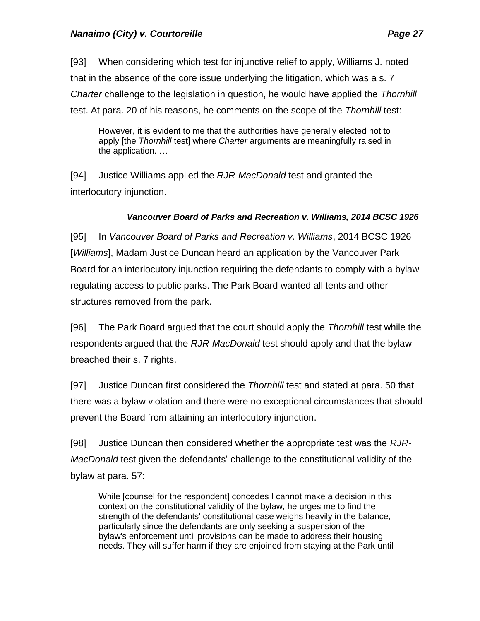[93] When considering which test for injunctive relief to apply, Williams J. noted that in the absence of the core issue underlying the litigation, which was a s. 7 *Charter* challenge to the legislation in question, he would have applied the *Thornhill* test. At para. 20 of his reasons, he comments on the scope of the *Thornhill* test:

However, it is evident to me that the authorities have generally elected not to apply [the *Thornhill* test] where *Charter* arguments are meaningfully raised in the application. …

[94] Justice Williams applied the *RJR-MacDonald* test and granted the interlocutory injunction.

#### *Vancouver Board of Parks and Recreation v. Williams, 2014 BCSC 1926*

[95] In *Vancouver Board of Parks and Recreation v. Williams*, 2014 BCSC 1926 [*Williams*], Madam Justice Duncan heard an application by the Vancouver Park Board for an interlocutory injunction requiring the defendants to comply with a bylaw regulating access to public parks. The Park Board wanted all tents and other structures removed from the park.

[96] The Park Board argued that the court should apply the *Thornhill* test while the respondents argued that the *RJR-MacDonald* test should apply and that the bylaw breached their s. 7 rights.

[97] Justice Duncan first considered the *Thornhill* test and stated at para. 50 that there was a bylaw violation and there were no exceptional circumstances that should prevent the Board from attaining an interlocutory injunction.

[98] Justice Duncan then considered whether the appropriate test was the *RJR-MacDonald* test given the defendants' challenge to the constitutional validity of the bylaw at para. 57:

While [counsel for the respondent] concedes I cannot make a decision in this context on the constitutional validity of the bylaw, he urges me to find the strength of the defendants' constitutional case weighs heavily in the balance, particularly since the defendants are only seeking a suspension of the bylaw's enforcement until provisions can be made to address their housing needs. They will suffer harm if they are enjoined from staying at the Park until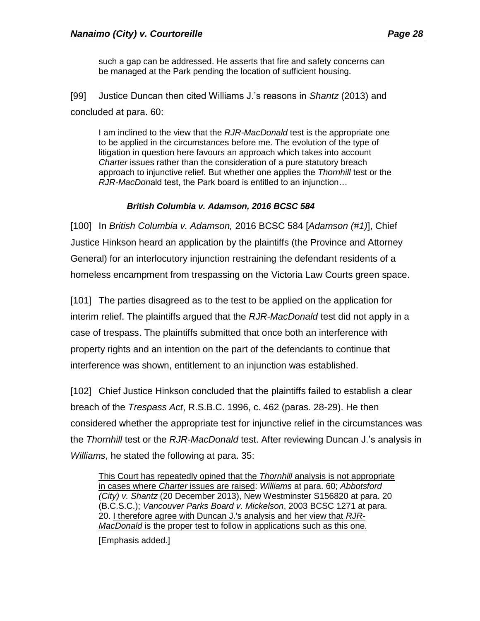such a gap can be addressed. He asserts that fire and safety concerns can be managed at the Park pending the location of sufficient housing.

[99] Justice Duncan then cited Williams J.'s reasons in *Shantz* (2013) and concluded at para. 60:

I am inclined to the view that the *RJR-MacDonald* test is the appropriate one to be applied in the circumstances before me. The evolution of the type of litigation in question here favours an approach which takes into account *Charter* issues rather than the consideration of a pure statutory breach approach to injunctive relief. But whether one applies the *Thornhill* test or the *RJR-MacDon*ald test, the Park board is entitled to an injunction…

#### *British Columbia v. Adamson, 2016 BCSC 584*

[100] In *British Columbia v. Adamson,* 2016 BCSC 584 [*Adamson (#1)*], Chief Justice Hinkson heard an application by the plaintiffs (the Province and Attorney General) for an interlocutory injunction restraining the defendant residents of a homeless encampment from trespassing on the Victoria Law Courts green space.

[101] The parties disagreed as to the test to be applied on the application for interim relief. The plaintiffs argued that the *RJR-MacDonald* test did not apply in a case of trespass. The plaintiffs submitted that once both an interference with property rights and an intention on the part of the defendants to continue that interference was shown, entitlement to an injunction was established.

[102] Chief Justice Hinkson concluded that the plaintiffs failed to establish a clear breach of the *Trespass Act*, R.S.B.C. 1996, c. 462 (paras. 28-29). He then considered whether the appropriate test for injunctive relief in the circumstances was the *Thornhill* test or the *RJR-MacDonald* test. After reviewing Duncan J.'s analysis in *Williams*, he stated the following at para. 35:

This Court has repeatedly opined that the *Thornhill* analysis is not appropriate in cases where *Charter* issues are raised: *Williams* at para. 60; *Abbotsford (City) v. Shantz* (20 December 2013), New Westminster S156820 at para. 20 (B.C.S.C.); *Vancouver Parks Board v. Mickelson*, 2003 BCSC 1271 at para. 20. I therefore agree with Duncan J.'s analysis and her view that *RJR-MacDonald* is the proper test to follow in applications such as this one.

[Emphasis added.]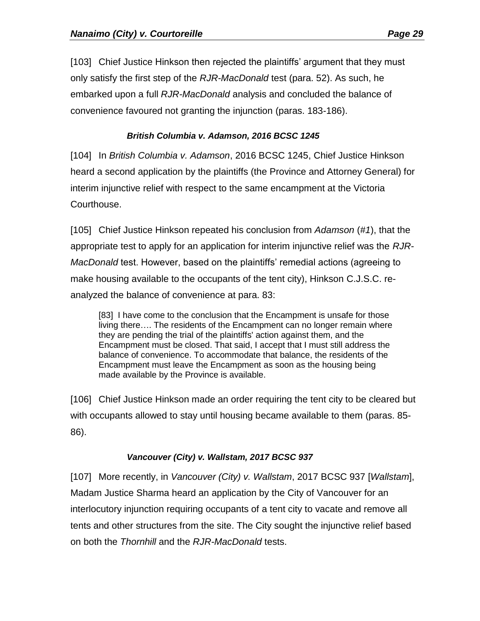[103] Chief Justice Hinkson then rejected the plaintiffs' argument that they must only satisfy the first step of the *RJR-MacDonald* test (para. 52). As such, he embarked upon a full *RJR-MacDonald* analysis and concluded the balance of convenience favoured not granting the injunction (paras. 183-186).

#### *British Columbia v. Adamson, 2016 BCSC 1245*

[104] In *British Columbia v. Adamson*, 2016 BCSC 1245, Chief Justice Hinkson heard a second application by the plaintiffs (the Province and Attorney General) for interim injunctive relief with respect to the same encampment at the Victoria Courthouse.

[105] Chief Justice Hinkson repeated his conclusion from *Adamson* (*#1*), that the appropriate test to apply for an application for interim injunctive relief was the *RJR-MacDonald* test. However, based on the plaintiffs' remedial actions (agreeing to make housing available to the occupants of the tent city), Hinkson C.J.S.C. reanalyzed the balance of convenience at para. 83:

[83] I have come to the conclusion that the Encampment is unsafe for those living there…. The residents of the Encampment can no longer remain where they are pending the trial of the plaintiffs' action against them, and the Encampment must be closed. That said, I accept that I must still address the balance of convenience. To accommodate that balance, the residents of the Encampment must leave the Encampment as soon as the housing being made available by the Province is available.

[106] Chief Justice Hinkson made an order requiring the tent city to be cleared but with occupants allowed to stay until housing became available to them (paras. 85- 86).

#### *Vancouver (City) v. Wallstam, 2017 BCSC 937*

[107] More recently, in *Vancouver (City) v. Wallstam*, 2017 BCSC 937 [*Wallstam*], Madam Justice Sharma heard an application by the City of Vancouver for an interlocutory injunction requiring occupants of a tent city to vacate and remove all tents and other structures from the site. The City sought the injunctive relief based on both the *Thornhill* and the *RJR-MacDonald* tests.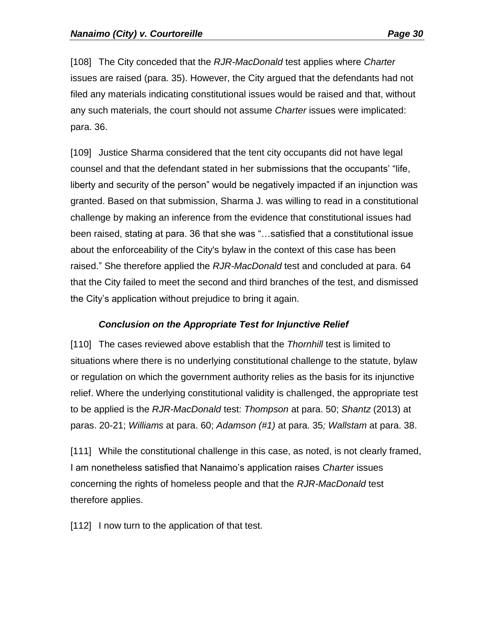[108] The City conceded that the *RJR-MacDonald* test applies where *Charter* issues are raised (para. 35). However, the City argued that the defendants had not filed any materials indicating constitutional issues would be raised and that, without any such materials, the court should not assume *Charter* issues were implicated: para. 36.

[109] Justice Sharma considered that the tent city occupants did not have legal counsel and that the defendant stated in her submissions that the occupants' "life, liberty and security of the person" would be negatively impacted if an injunction was granted. Based on that submission, Sharma J. was willing to read in a constitutional challenge by making an inference from the evidence that constitutional issues had been raised, stating at para. 36 that she was "…satisfied that a constitutional issue about the enforceability of the City's bylaw in the context of this case has been raised." She therefore applied the *RJR-MacDonald* test and concluded at para. 64 that the City failed to meet the second and third branches of the test, and dismissed the City's application without prejudice to bring it again.

#### *Conclusion on the Appropriate Test for Injunctive Relief*

[110] The cases reviewed above establish that the *Thornhill* test is limited to situations where there is no underlying constitutional challenge to the statute, bylaw or regulation on which the government authority relies as the basis for its injunctive relief. Where the underlying constitutional validity is challenged, the appropriate test to be applied is the *RJR-MacDonald* test: *Thompson* at para. 50; *Shantz* (2013) at paras. 20-21; *Williams* at para. 60; *Adamson (#1)* at para. 35*; Wallstam* at para. 38.

[111] While the constitutional challenge in this case, as noted, is not clearly framed, I am nonetheless satisfied that Nanaimo's application raises *Charter* issues concerning the rights of homeless people and that the *RJR-MacDonald* test therefore applies.

[112] I now turn to the application of that test.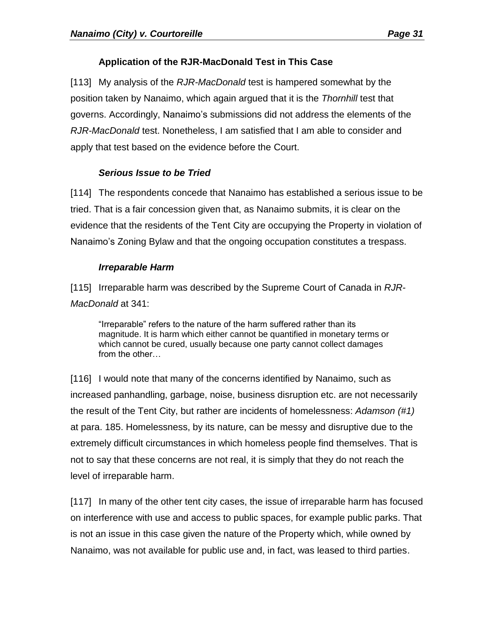## **Application of the RJR-MacDonald Test in This Case**

[113] My analysis of the *RJR-MacDonald* test is hampered somewhat by the position taken by Nanaimo, which again argued that it is the *Thornhill* test that governs. Accordingly, Nanaimo's submissions did not address the elements of the *RJR-MacDonald* test. Nonetheless, I am satisfied that I am able to consider and apply that test based on the evidence before the Court.

# *Serious Issue to be Tried*

[114] The respondents concede that Nanaimo has established a serious issue to be tried. That is a fair concession given that, as Nanaimo submits, it is clear on the evidence that the residents of the Tent City are occupying the Property in violation of Nanaimo's Zoning Bylaw and that the ongoing occupation constitutes a trespass.

## *Irreparable Harm*

[115] Irreparable harm was described by the Supreme Court of Canada in *RJR-MacDonald* at 341:

"Irreparable" refers to the nature of the harm suffered rather than its magnitude. It is harm which either cannot be quantified in monetary terms or which cannot be cured, usually because one party cannot collect damages from the other…

[116] I would note that many of the concerns identified by Nanaimo, such as increased panhandling, garbage, noise, business disruption etc. are not necessarily the result of the Tent City, but rather are incidents of homelessness: *Adamson (#1)* at para. 185. Homelessness, by its nature, can be messy and disruptive due to the extremely difficult circumstances in which homeless people find themselves. That is not to say that these concerns are not real, it is simply that they do not reach the level of irreparable harm.

[117] In many of the other tent city cases, the issue of irreparable harm has focused on interference with use and access to public spaces, for example public parks. That is not an issue in this case given the nature of the Property which, while owned by Nanaimo, was not available for public use and, in fact, was leased to third parties.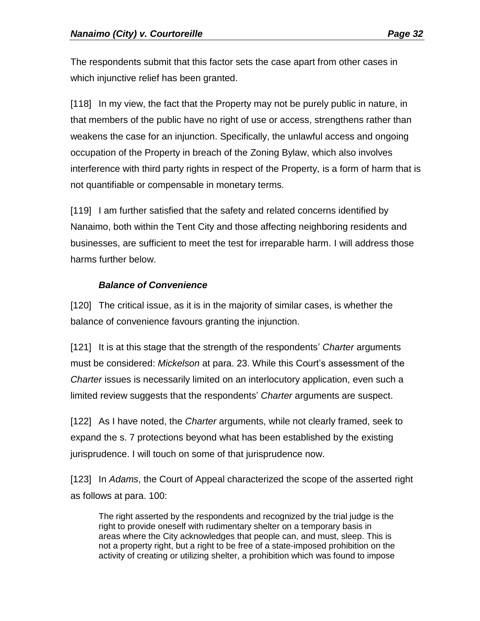The respondents submit that this factor sets the case apart from other cases in which injunctive relief has been granted.

[118] In my view, the fact that the Property may not be purely public in nature, in that members of the public have no right of use or access, strengthens rather than weakens the case for an injunction. Specifically, the unlawful access and ongoing occupation of the Property in breach of the Zoning Bylaw, which also involves interference with third party rights in respect of the Property, is a form of harm that is not quantifiable or compensable in monetary terms.

[119] I am further satisfied that the safety and related concerns identified by Nanaimo, both within the Tent City and those affecting neighboring residents and businesses, are sufficient to meet the test for irreparable harm. I will address those harms further below.

#### *Balance of Convenience*

[120] The critical issue, as it is in the majority of similar cases, is whether the balance of convenience favours granting the injunction.

[121] It is at this stage that the strength of the respondents' *Charter* arguments must be considered: *Mickelson* at para. 23. While this Court's assessment of the *Charter* issues is necessarily limited on an interlocutory application, even such a limited review suggests that the respondents' *Charter* arguments are suspect.

[122] As I have noted, the *Charter* arguments, while not clearly framed, seek to expand the s. 7 protections beyond what has been established by the existing jurisprudence. I will touch on some of that jurisprudence now.

[123] In *Adams*, the Court of Appeal characterized the scope of the asserted right as follows at para. 100:

The right asserted by the respondents and recognized by the trial judge is the right to provide oneself with rudimentary shelter on a temporary basis in areas where the City acknowledges that people can, and must, sleep. This is not a property right, but a right to be free of a state-imposed prohibition on the activity of creating or utilizing shelter, a prohibition which was found to impose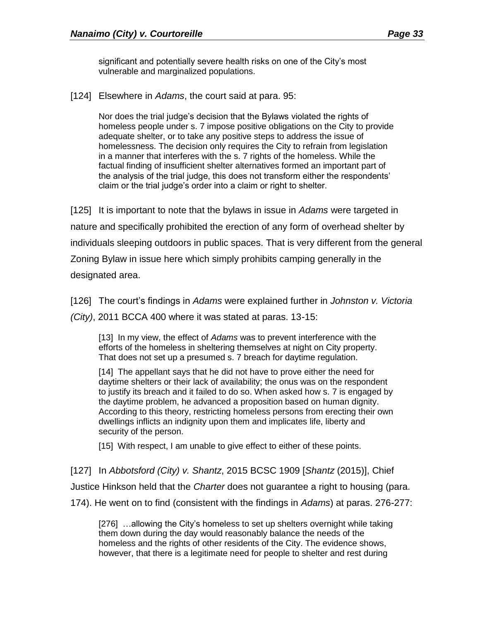significant and potentially severe health risks on one of the City's most vulnerable and marginalized populations.

[124] Elsewhere in *Adams*, the court said at para. 95:

Nor does the trial judge's decision that the Bylaws violated the rights of homeless people under s. 7 impose positive obligations on the City to provide adequate shelter, or to take any positive steps to address the issue of homelessness. The decision only requires the City to refrain from legislation in a manner that interferes with the s. 7 rights of the homeless. While the factual finding of insufficient shelter alternatives formed an important part of the analysis of the trial judge, this does not transform either the respondents' claim or the trial judge's order into a claim or right to shelter.

[125] It is important to note that the bylaws in issue in *Adams* were targeted in nature and specifically prohibited the erection of any form of overhead shelter by individuals sleeping outdoors in public spaces. That is very different from the general Zoning Bylaw in issue here which simply prohibits camping generally in the designated area.

[126] The court's findings in *Adams* were explained further in *Johnston v. Victoria (City)*, 2011 BCCA 400 where it was stated at paras. 13-15:

[13] In my view, the effect of *Adams* was to prevent interference with the efforts of the homeless in sheltering themselves at night on City property. That does not set up a presumed s. 7 breach for daytime regulation.

[14] The appellant says that he did not have to prove either the need for daytime shelters or their lack of availability; the onus was on the respondent to justify its breach and it failed to do so. When asked how s. 7 is engaged by the daytime problem, he advanced a proposition based on human dignity. According to this theory, restricting homeless persons from erecting their own dwellings inflicts an indignity upon them and implicates life, liberty and security of the person.

[15] With respect, I am unable to give effect to either of these points.

[127] In *Abbotsford (City) v. Shantz*, 2015 BCSC 1909 [*Shantz* (2015)], Chief Justice Hinkson held that the *Charter* does not guarantee a right to housing (para. 174). He went on to find (consistent with the findings in *Adams*) at paras. 276-277:

[276] …allowing the City's homeless to set up shelters overnight while taking them down during the day would reasonably balance the needs of the homeless and the rights of other residents of the City. The evidence shows, however, that there is a legitimate need for people to shelter and rest during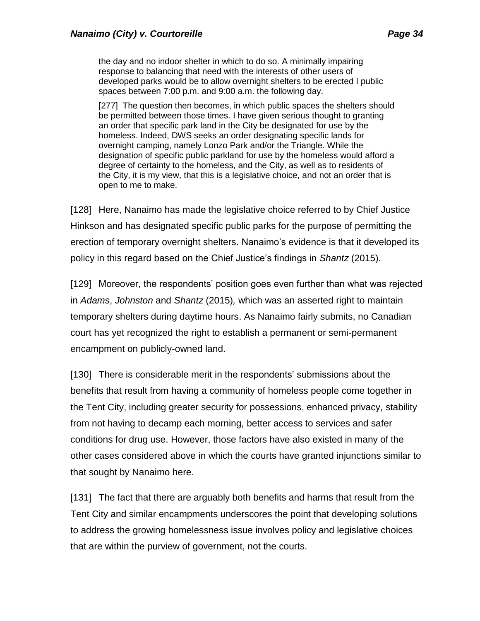the day and no indoor shelter in which to do so. A minimally impairing response to balancing that need with the interests of other users of developed parks would be to allow overnight shelters to be erected I public spaces between 7:00 p.m. and 9:00 a.m. the following day.

[277] The question then becomes, in which public spaces the shelters should be permitted between those times. I have given serious thought to granting an order that specific park land in the City be designated for use by the homeless. Indeed, DWS seeks an order designating specific lands for overnight camping, namely Lonzo Park and/or the Triangle. While the designation of specific public parkland for use by the homeless would afford a degree of certainty to the homeless, and the City, as well as to residents of the City, it is my view, that this is a legislative choice, and not an order that is open to me to make.

[128] Here, Nanaimo has made the legislative choice referred to by Chief Justice Hinkson and has designated specific public parks for the purpose of permitting the erection of temporary overnight shelters. Nanaimo's evidence is that it developed its policy in this regard based on the Chief Justice's findings in *Shantz* (2015)*.*

[129] Moreover, the respondents' position goes even further than what was rejected in *Adams*, *Johnston* and *Shantz* (2015)*,* which was an asserted right to maintain temporary shelters during daytime hours. As Nanaimo fairly submits, no Canadian court has yet recognized the right to establish a permanent or semi-permanent encampment on publicly-owned land.

[130] There is considerable merit in the respondents' submissions about the benefits that result from having a community of homeless people come together in the Tent City, including greater security for possessions, enhanced privacy, stability from not having to decamp each morning, better access to services and safer conditions for drug use. However, those factors have also existed in many of the other cases considered above in which the courts have granted injunctions similar to that sought by Nanaimo here.

[131] The fact that there are arguably both benefits and harms that result from the Tent City and similar encampments underscores the point that developing solutions to address the growing homelessness issue involves policy and legislative choices that are within the purview of government, not the courts.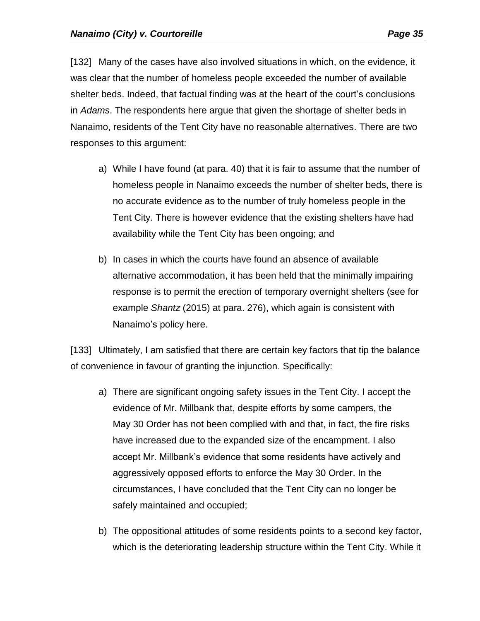[132] Many of the cases have also involved situations in which, on the evidence, it was clear that the number of homeless people exceeded the number of available shelter beds. Indeed, that factual finding was at the heart of the court's conclusions in *Adams*. The respondents here argue that given the shortage of shelter beds in Nanaimo, residents of the Tent City have no reasonable alternatives. There are two responses to this argument:

- a) While I have found (at para. 40) that it is fair to assume that the number of homeless people in Nanaimo exceeds the number of shelter beds, there is no accurate evidence as to the number of truly homeless people in the Tent City. There is however evidence that the existing shelters have had availability while the Tent City has been ongoing; and
- b) In cases in which the courts have found an absence of available alternative accommodation, it has been held that the minimally impairing response is to permit the erection of temporary overnight shelters (see for example *Shantz* (2015) at para. 276), which again is consistent with Nanaimo's policy here.

[133] Ultimately, I am satisfied that there are certain key factors that tip the balance of convenience in favour of granting the injunction. Specifically:

- a) There are significant ongoing safety issues in the Tent City. I accept the evidence of Mr. Millbank that, despite efforts by some campers, the May 30 Order has not been complied with and that, in fact, the fire risks have increased due to the expanded size of the encampment. I also accept Mr. Millbank's evidence that some residents have actively and aggressively opposed efforts to enforce the May 30 Order. In the circumstances, I have concluded that the Tent City can no longer be safely maintained and occupied;
- b) The oppositional attitudes of some residents points to a second key factor, which is the deteriorating leadership structure within the Tent City. While it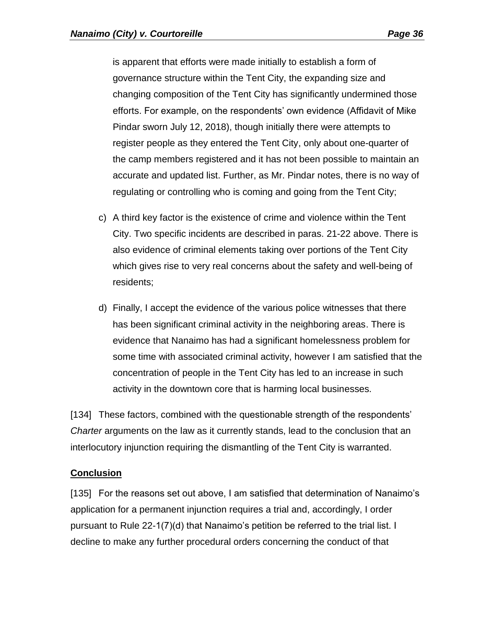is apparent that efforts were made initially to establish a form of governance structure within the Tent City, the expanding size and changing composition of the Tent City has significantly undermined those efforts. For example, on the respondents' own evidence (Affidavit of Mike Pindar sworn July 12, 2018), though initially there were attempts to register people as they entered the Tent City, only about one-quarter of the camp members registered and it has not been possible to maintain an accurate and updated list. Further, as Mr. Pindar notes, there is no way of regulating or controlling who is coming and going from the Tent City;

- c) A third key factor is the existence of crime and violence within the Tent City. Two specific incidents are described in paras. 21-22 above. There is also evidence of criminal elements taking over portions of the Tent City which gives rise to very real concerns about the safety and well-being of residents;
- d) Finally, I accept the evidence of the various police witnesses that there has been significant criminal activity in the neighboring areas. There is evidence that Nanaimo has had a significant homelessness problem for some time with associated criminal activity, however I am satisfied that the concentration of people in the Tent City has led to an increase in such activity in the downtown core that is harming local businesses.

[134] These factors, combined with the questionable strength of the respondents' *Charter* arguments on the law as it currently stands, lead to the conclusion that an interlocutory injunction requiring the dismantling of the Tent City is warranted.

#### **Conclusion**

[135] For the reasons set out above, I am satisfied that determination of Nanaimo's application for a permanent injunction requires a trial and, accordingly, I order pursuant to Rule 22-1(7)(d) that Nanaimo's petition be referred to the trial list. I decline to make any further procedural orders concerning the conduct of that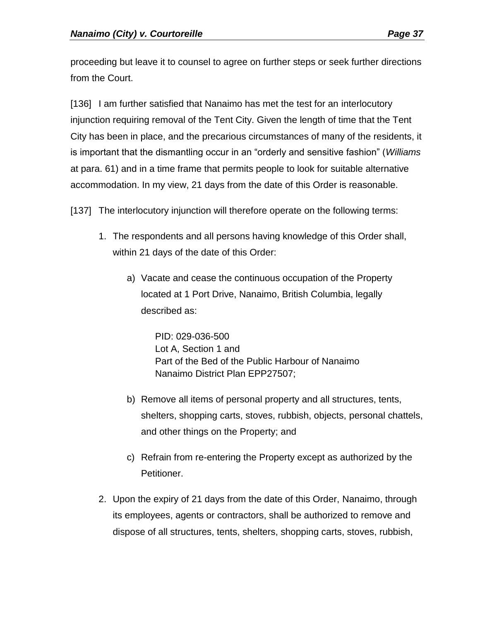proceeding but leave it to counsel to agree on further steps or seek further directions from the Court.

[136] I am further satisfied that Nanaimo has met the test for an interlocutory injunction requiring removal of the Tent City. Given the length of time that the Tent City has been in place, and the precarious circumstances of many of the residents, it is important that the dismantling occur in an "orderly and sensitive fashion" (*Williams* at para. 61) and in a time frame that permits people to look for suitable alternative accommodation. In my view, 21 days from the date of this Order is reasonable.

[137] The interlocutory injunction will therefore operate on the following terms:

- 1. The respondents and all persons having knowledge of this Order shall, within 21 days of the date of this Order:
	- a) Vacate and cease the continuous occupation of the Property located at 1 Port Drive, Nanaimo, British Columbia, legally described as:

PID: 029-036-500 Lot A, Section 1 and Part of the Bed of the Public Harbour of Nanaimo Nanaimo District Plan EPP27507;

- b) Remove all items of personal property and all structures, tents, shelters, shopping carts, stoves, rubbish, objects, personal chattels, and other things on the Property; and
- c) Refrain from re-entering the Property except as authorized by the Petitioner.
- 2. Upon the expiry of 21 days from the date of this Order, Nanaimo, through its employees, agents or contractors, shall be authorized to remove and dispose of all structures, tents, shelters, shopping carts, stoves, rubbish,